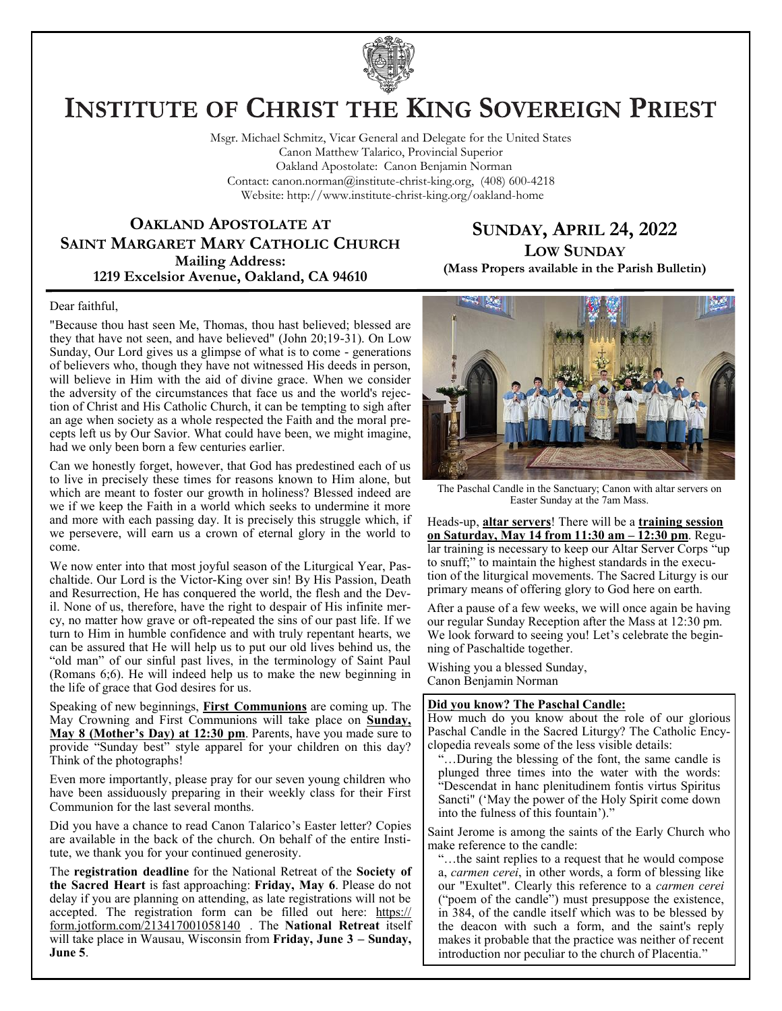

# **INSTITUTE OF CHRIST THE KING SOVEREIGN PRIEST**

Msgr. Michael Schmitz, Vicar General and Delegate for the United States Canon Matthew Talarico, Provincial Superior Oakland Apostolate: Canon Benjamin Norman Contact: canon.norman@institute-christ-king.org, (408) 600-4218 Website: http://www.institute-christ-king.org/oakland-home

### **OAKLAND APOSTOLATE AT SAINT MARGARET MARY CATHOLIC CHURCH Mailing Address: 1219 Excelsior Avenue, Oakland, CA 94610**

## **SUNDAY, APRIL 24, 2022 LOW SUNDAY**

**(Mass Propers available in the Parish Bulletin)**

#### Dear faithful,

"Because thou hast seen Me, Thomas, thou hast believed; blessed are they that have not seen, and have believed" (John 20;19-31). On Low Sunday, Our Lord gives us a glimpse of what is to come - generations of believers who, though they have not witnessed His deeds in person, will believe in Him with the aid of divine grace. When we consider the adversity of the circumstances that face us and the world's rejection of Christ and His Catholic Church, it can be tempting to sigh after an age when society as a whole respected the Faith and the moral precepts left us by Our Savior. What could have been, we might imagine, had we only been born a few centuries earlier.

Can we honestly forget, however, that God has predestined each of us to live in precisely these times for reasons known to Him alone, but which are meant to foster our growth in holiness? Blessed indeed are we if we keep the Faith in a world which seeks to undermine it more and more with each passing day. It is precisely this struggle which, if we persevere, will earn us a crown of eternal glory in the world to come.

We now enter into that most joyful season of the Liturgical Year, Paschaltide. Our Lord is the Victor-King over sin! By His Passion, Death and Resurrection, He has conquered the world, the flesh and the Devil. None of us, therefore, have the right to despair of His infinite mercy, no matter how grave or oft-repeated the sins of our past life. If we turn to Him in humble confidence and with truly repentant hearts, we can be assured that He will help us to put our old lives behind us, the "old man" of our sinful past lives, in the terminology of Saint Paul (Romans 6;6). He will indeed help us to make the new beginning in the life of grace that God desires for us.

Speaking of new beginnings, **First Communions** are coming up. The May Crowning and First Communions will take place on **Sunday, May 8 (Mother's Day) at 12:30 pm**. Parents, have you made sure to provide "Sunday best" style apparel for your children on this day? Think of the photographs!

Even more importantly, please pray for our seven young children who have been assiduously preparing in their weekly class for their First Communion for the last several months.

Did you have a chance to read Canon Talarico's Easter letter? Copies are available in the back of the church. On behalf of the entire Institute, we thank you for your continued generosity.

The **registration deadline** for the National Retreat of the **Society of the Sacred Heart** is fast approaching: **Friday, May 6**. Please do not delay if you are planning on attending, as late registrations will not be accepted. The registration form can be filled out here: [https://](https://form.jotform.com/213417001058140) [form.jotform.com/213417001058140](https://form.jotform.com/213417001058140) . The **National Retreat** itself will take place in Wausau, Wisconsin from **Friday, June 3 – Sunday, June 5**.



The Paschal Candle in the Sanctuary; Canon with altar servers on Easter Sunday at the 7am Mass.

Heads-up, **altar servers**! There will be a **training session on Saturday, May 14 from 11:30 am – 12:30 pm**. Regular training is necessary to keep our Altar Server Corps "up to snuff;" to maintain the highest standards in the execution of the liturgical movements. The Sacred Liturgy is our primary means of offering glory to God here on earth.

After a pause of a few weeks, we will once again be having our regular Sunday Reception after the Mass at 12:30 pm. We look forward to seeing you! Let's celebrate the beginning of Paschaltide together.

Wishing you a blessed Sunday, Canon Benjamin Norman

#### **Did you know? The Paschal Candle:**

How much do you know about the role of our glorious Paschal Candle in the Sacred Liturgy? The Catholic Encyclopedia reveals some of the less visible details:

"…During the blessing of the font, the same candle is plunged three times into the water with the words: "Descendat in hanc plenitudinem fontis virtus Spiritus Sancti" ('May the power of the Holy Spirit come down into the fulness of this fountain')."

Saint Jerome is among the saints of the Early Church who make reference to the candle:

"…the saint replies to a request that he would compose a, *carmen cerei*, in other words, a form of blessing like our "Exultet". Clearly this reference to a *carmen cerei* ("poem of the candle") must presuppose the existence, in 384, of the candle itself which was to be blessed by the deacon with such a form, and the saint's reply makes it probable that the practice was neither of recent introduction nor peculiar to the church of Placentia."